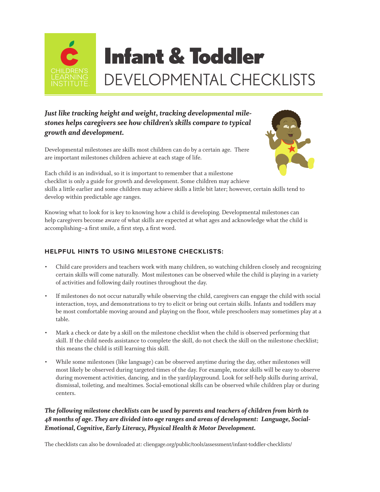

# Infant & Toddler DEVELOPMENTAL CHECKLISTS

# *Just like tracking height and weight, tracking developmental milestones helps caregivers see how children's skills compare to typical growth and development.*

Developmental milestones are skills most children can do by a certain age. There are important milestones children achieve at each stage of life.



Each child is an individual, so it is important to remember that a milestone checklist is only a guide for growth and development. Some children may achieve skills a little earlier and some children may achieve skills a little bit later; however, certain skills tend to develop within predictable age ranges.

Knowing what to look for is key to knowing how a child is developing. Developmental milestones can help caregivers become aware of what skills are expected at what ages and acknowledge what the child is accomplishing–a first smile, a first step, a first word.

### **HELPFUL HINTS TO USING MILESTONE CHECKLISTS:**

- Child care providers and teachers work with many children, so watching children closely and recognizing certain skills will come naturally. Most milestones can be observed while the child is playing in a variety of activities and following daily routines throughout the day.
- If milestones do not occur naturally while observing the child, caregivers can engage the child with social interaction, toys, and demonstrations to try to elicit or bring out certain skills. Infants and toddlers may be most comfortable moving around and playing on the floor, while preschoolers may sometimes play at a table.
- Mark a check or date by a skill on the milestone checklist when the child is observed performing that skill. If the child needs assistance to complete the skill, do not check the skill on the milestone checklist; this means the child is still learning this skill.
- While some milestones (like language) can be observed anytime during the day, other milestones will most likely be observed during targeted times of the day. For example, motor skills will be easy to observe during movement activities, dancing, and in the yard/playground. Look for self-help skills during arrival, dismissal, toileting, and mealtimes. Social-emotional skills can be observed while children play or during centers.

#### *The following milestone checklists can be used by parents and teachers of children from birth to 48 months of age. They are divided into age ranges and areas of development: Language, Social-Emotional, Cognitive, Early Literacy, Physical Health & Motor Development.*

The checklists can also be downloaded at: cliengage.org/public/tools/assessment/infant-toddler-checklists/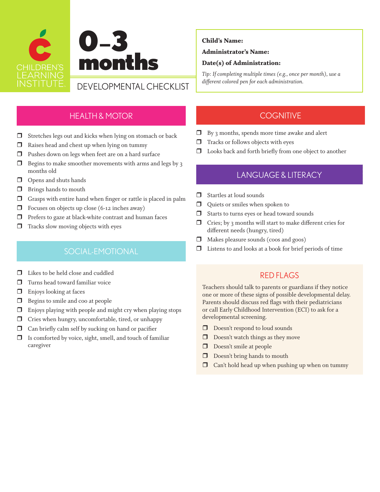

#### Administrator's Name:

#### Date(s) of Administration:

*Tip: If completing multiple times (e.g., once per month), use a* 

### HEALTH & MOTOR

- $\Box$  Stretches legs out and kicks when lying on stomach or back
- $\Box$  Raises head and chest up when lying on tummy
- $\Box$  Pushes down on legs when feet are on a hard surface
- $\Box$  Begins to make smoother movements with arms and legs by 3 months old
- $\Box$  Opens and shuts hands
- $\Box$  Brings hands to mouth
- $\Box$  Grasps with entire hand when finger or rattle is placed in palm
- $\Box$  Focuses on objects up close (6-12 inches away)
- $\Box$  Prefers to gaze at black-white contrast and human faces
- $\Box$  Tracks slow moving objects with eyes

- $\Box$  Likes to be held close and cuddled
- $\Box$  Turns head toward familiar voice
- $\Box$  Enjoys looking at faces
- **Begins to smile and coo at people**
- Enjoys playing with people and might cry when playing stops
- $\Box$  Cries when hungry, uncomfortable, tired, or unhappy
- $\Box$  Can briefly calm self by sucking on hand or pacifier
- $\Box$  Is comforted by voice, sight, smell, and touch of familiar caregiver

#### **COGNITIVE**

- By 3 months, spends more time awake and alert
- $\Box$  Tracks or follows objects with eyes
- $\square$  Looks back and forth briefly from one object to another

# LANGUAGE & LITERACY

- Startles at loud sounds
- Quiets or smiles when spoken to
- Starts to turns eyes or head toward sounds
- $\Box$  Cries; by 3 months will start to make different cries for different needs (hungry, tired)
- Makes pleasure sounds (coos and goos)
- SOCIAL-EMOTIONAL **D** Listens to and looks at a book for brief periods of time

### RED FLAGS

- Doesn't respond to loud sounds
- $\Box$  Doesn't watch things as they move
- Doesn't smile at people
- Doesn't bring hands to mouth
- $\Box$  Can't hold head up when pushing up when on tummy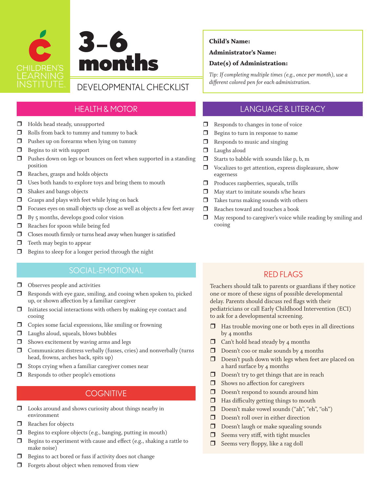

# HEALTH & MOTOR

- $\Box$  Holds head steady, unsupported
- $\Box$  Rolls from back to tummy and tummy to back
- $\Box$  Pushes up on forearms when lying on tummy
- $\Box$  Begins to sit with support
- $\Box$  Pushes down on legs or bounces on feet when supported in a standing position
- Reaches, grasps and holds objects
- $\Box$  Uses both hands to explore toys and bring them to mouth
- $\Box$  Shakes and bangs objects
- $\Box$  Grasps and plays with feet while lying on back
- Focuses eyes on small objects up close as well as objects a few feet away
- $\Box$  By 5 months, develops good color vision
- Reaches for spoon while being fed
- $\Box$  Closes mouth firmly or turns head away when hunger is satisfied
- $\Box$  Teeth may begin to appear
- $\Box$  Begins to sleep for a longer period through the night

# SOCIAL-EMOTIONAL

- $\Box$  Observes people and activities
- $\Box$  Responds with eye gaze, smiling, and cooing when spoken to, picked up, or shown affection by a familiar caregiver
- $\Box$  Initiates social interactions with others by making eye contact and cooing
- $\Box$  Copies some facial expressions, like smiling or frowning
- $\Box$  Laughs aloud, squeals, blows bubbles
- $\Box$  Shows excitement by waving arms and legs
- $\Box$  Communicates distress verbally (fusses, cries) and nonverbally (turns head, frowns, arches back, spits up)
- $\Box$  Stops crying when a familiar caregiver comes near
- $\Box$  Responds to other people's emotions

# **COGNITIVE**

- Looks around and shows curiosity about things nearby in environment
- Reaches for objects
- $\Box$  Begins to explore objects (e.g., banging, putting in mouth)
- $\Box$  Begins to experiment with cause and effect (e.g., shaking a rattle to make noise)
- $\Box$  Begins to act bored or fuss if activity does not change
- $\Box$  Forgets about object when removed from view

#### Child's Name:

#### Administrator's Name:

#### Date(s) of Administration:

*Tip: If completing multiple times (e.g., once per month), use a* 

# LANGUAGE & LITERACY

- $\Box$  Responds to changes in tone of voice
- **Begins to turn in response to name**
- $\Box$  Responds to music and singing
- $\Box$  Laughs aloud
- $\Box$  Starts to babble with sounds like p, b, m
- Vocalizes to get attention, express displeasure, show eagerness
- **Produces raspberries, squeals, trills**
- $\Box$  May start to imitate sounds s/he hears
- $\Box$  Takes turns making sounds with others
- $\Box$  Reaches toward and touches a book
- $\Box$  May respond to caregiver's voice while reading by smiling and cooing

# RED FLAGS

- $\Box$  Has trouble moving one or both eyes in all directions by 4 months
- $\Box$  Can't hold head steady by 4 months
- $\Box$  Doesn't coo or make sounds by 4 months
- D oesn't push down with legs when feet are placed on a hard surface by 4 months
- $\Box$  Doesn't try to get things that are in reach
- $\Box$  Shows no affection for caregivers
- D Doesn't respond to sounds around him
- $\Box$  Has difficulty getting things to mouth
- Doesn't make vowel sounds ("ah", "eh", "oh")
- Doesn't roll over in either direction
- D Doesn't laugh or make squealing sounds
- $\Box$  Seems very stiff, with tight muscles
- $\Box$  Seems very floppy, like a rag doll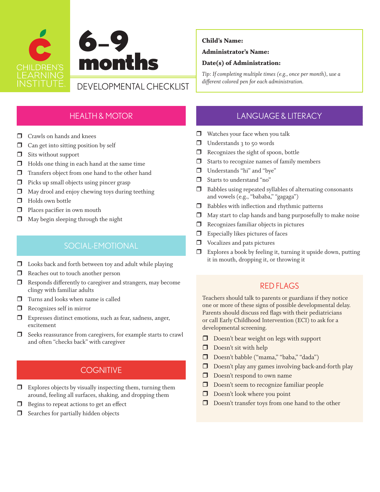

#### Administrator's Name:

#### Date(s) of Administration:

*Tip: If completing multiple times (e.g., once per month), use a* 

# HEALTH & MOTOR

- $\Box$  Crawls on hands and knees
- $\Box$  Can get into sitting position by self
- $\Box$  Sits without support
- $\Box$  Holds one thing in each hand at the same time
- $\Box$  Transfers object from one hand to the other hand
- $\Box$  Picks up small objects using pincer grasp
- $\Box$  May drool and enjoy chewing toys during teething
- $\Box$  Holds own bottle
- $\Box$  Places pacifier in own mouth
- $\Box$  May begin sleeping through the night

# SOCIAL-EMOTIONAL

- $\square$  Looks back and forth between toy and adult while playing
- Reaches out to touch another person
- $\Box$  Responds differently to caregiver and strangers, may become clingy with familiar adults
- $\Box$  Turns and looks when name is called
- $\Box$  Recognizes self in mirror
- Expresses distinct emotions, such as fear, sadness, anger, excitement
- $\Box$  Seeks reassurance from caregivers, for example starts to crawl and often "checks back" with caregiver

# **COGNITIVE**

- $\Box$  Explores objects by visually inspecting them, turning them around, feeling all surfaces, shaking, and dropping them
- $\Box$  Begins to repeat actions to get an effect
- $\Box$  Searches for partially hidden objects

# LANGUAGE & LITERACY

- Watches your face when you talk
- $\Box$  Understands 3 to 50 words
- $\Box$  Recognizes the sight of spoon, bottle
- $\Box$  Starts to recognize names of family members
- Understands "hi" and "bye"
- Starts to understand "no"
- $\Box$  Babbles using repeated syllables of alternating consonants and vowels (e.g., "bababa," "gagaga")
- $\Box$  Babbles with inflection and rhythmic patterns
- May start to clap hands and bang purposefully to make noise
- $\Box$  Recognizes familiar objects in pictures
- $\Box$  Especially likes pictures of faces
- $\Box$  Vocalizes and pats pictures
- $\Box$  Explores a book by feeling it, turning it upside down, putting it in mouth, dropping it, or throwing it

# RED FLAGS

- D Doesn't bear weight on legs with support
- Doesn't sit with help
- Doesn't babble ("mama," "baba," "dada")
- Doesn't play any games involving back-and-forth play
- D Doesn't respond to own name
- Doesn't seem to recognize familiar people
- $\Box$  Doesn't look where you point
- D Doesn't transfer toys from one hand to the other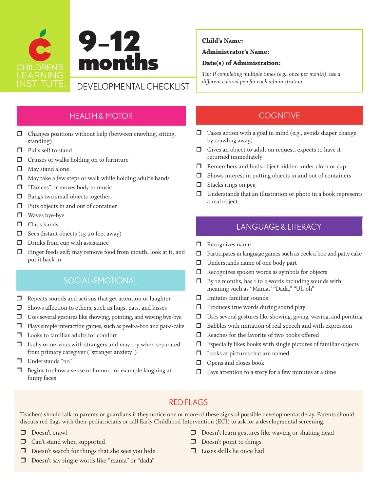

 $\Box$  Changes positions without help (between crawling, sitting, standing)

HEALTH & MOTOR

- **Pulls self to stand**
- $\Box$  Cruises or walks holding on to furniture
- $\Box$  May stand alone
- $\Box$  May take a few steps or walk while holding adult's hands
- D "Dances" or moves body to music
- **Bangs two small objects together**
- $\Box$  Puts objects in and out of container
- $\Box$  Waves bye-bye
- **O** Claps hands
- $\Box$  Sees distant objects (15-20 feet away)
- $\Box$  Drinks from cup with assistance
- Finger feeds self; may remove food from mouth, look at it, and put it back in

# SOCIAL-EMOTIONAL

- $\Box$  Repeats sounds and actions that get attention or laughter
- $\Box$  Shows affection to others, such as hugs, pats, and kisses
- $\Box$  Uses several gestures like showing, pointing, and waving bye-bye
- Plays simple interaction games, such as peek-a-boo and pat-a-cake
- $\Box$  Looks to familiar adults for comfort
- $\Box$  Is shy or nervous with strangers and may cry when separated from primary caregiver ("stranger anxiety")
- Understands "no"
- $\Box$  Begins to show a sense of humor, for example laughing at funny faces

#### Child's Name:

#### Administrator's Name:

#### Date(s) of Administration:

*Tip: If completing multiple times (e.g., once per month), use a* 

# **COGNITIVE**

- $\Box$  Takes action with a goal in mind (e.g., avoids diaper change by crawling away)
- $\Box$  Gives an object to adult on request, expects to have it returned immediately
- $\Box$  Remembers and finds object hidden under cloth or cup
- $\Box$  Shows interest in putting objects in and out of containers
- $\Box$  Stacks rings on peg
- $\Box$  Understands that an illustration or photo in a book represents a real object

# LANGUAGE & LITERACY

- Recognizes name
- $\Box$  Participates in language games such as peek-a-boo and patty cake
- Understands name of one body part
- $\Box$  Recognizes spoken words as symbols for objects
- $\Box$  By 12 months, has 1 to 2 words including sounds with meaning such as "Mama," "Dada," "Uh-oh"
- $\Box$  Imitates familiar sounds
- $\Box$  Produces true words during sound play
- Uses several gestures like showing, giving, waving, and pointing
- $\Box$  Babbles with imitation of real speech and with expression
- Reaches for the favorite of two books offered
- $\Box$  Especially likes books with single pictures of familiar objects
- $\Box$  Looks at pictures that are named
- $\Box$  Opens and closes book
- $\Box$  Pays attention to a story for a few minutes at a time

# RED FLAGS

- Doesn't crawl
- **Can't stand when supported**
- $\Box$  Doesn't search for things that she sees you hide
- Doesn't say single words like "mama" or "dada"
- Doesn't learn gestures like waving or shaking head
- $\Box$  Doesn't point to things
- $\Box$  Loses skills he once had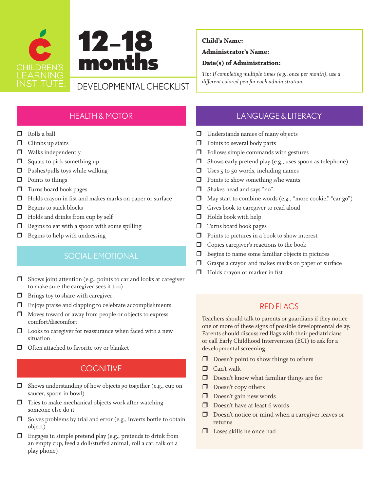



#### Administrator's Name:

#### Date(s) of Administration:

*Tip: If completing multiple times (e.g., once per month), use a different colored pen for each administration.* DEVELOPMENTAL CHECKLIST

# HEALTH & MOTOR

- Rolls a ball
- $\Box$  Climbs up stairs
- $\Box$  Walks independently
- $\Box$  Squats to pick something up
- $\Box$  Pushes/pulls toys while walking
- $\Box$  Points to things
- **T** Turns board book pages
- $\Box$  Holds crayon in fist and makes marks on paper or surface
- $\Box$  Begins to stack blocks
- $\Box$  Holds and drinks from cup by self
- $\Box$  Begins to eat with a spoon with some spilling
- $\Box$  Begins to help with undressing

# SOCIAL-EMOTIONAL

- $\Box$  Shows joint attention (e.g., points to car and looks at caregiver to make sure the caregiver sees it too)
- $\Box$  Brings toy to share with caregiver
- $\square$  Enjoys praise and clapping to celebrate accomplishments
- $\Box$  Moves toward or away from people or objects to express comfort/discomfort
- $\square$  Looks to caregiver for reassurance when faced with a new situation
- Often attached to favorite toy or blanket

# **COGNITIVE**

- Shows understanding of how objects go together (e.g., cup on saucer, spoon in bowl)
- $\Box$  Tries to make mechanical objects work after watching someone else do it
- $\Box$  Solves problems by trial and error (e.g., inverts bottle to obtain object)
- $\Box$  Engages in simple pretend play (e.g., pretends to drink from an empty cup, feed a doll/stuffed animal, roll a car, talk on a play phone)

# LANGUAGE & LITERACY

- **Understands names of many objects**
- $\Box$  Points to several body parts
- $\Box$  Follows simple commands with gestures
- $\Box$  Shows early pretend play (e.g., uses spoon as telephone)
- $\Box$  Uses 5 to 50 words, including names
- $\Box$  Points to show something s/he wants
- Shakes head and says "no"
- $\Box$  May start to combine words (e.g., "more cookie," "car go")
- Gives book to caregiver to read aloud
- $\Box$  Holds book with help
- $\Box$  Turns board book pages
- $\Box$  Points to pictures in a book to show interest
- $\Box$  Copies caregiver's reactions to the book
- $\Box$  Begins to name some familiar objects in pictures
- Grasps a crayon and makes marks on paper or surface
- **Holds** crayon or marker in fist

# RED FLAGS

- $\Box$  Doesn't point to show things to others
- **O** Can't walk
- Doesn't know what familiar things are for
- Doesn't copy others
- Doesn't gain new words
- Doesn't have at least 6 words
- D Doesn't notice or mind when a caregiver leaves or returns
- $\Box$  Loses skills he once had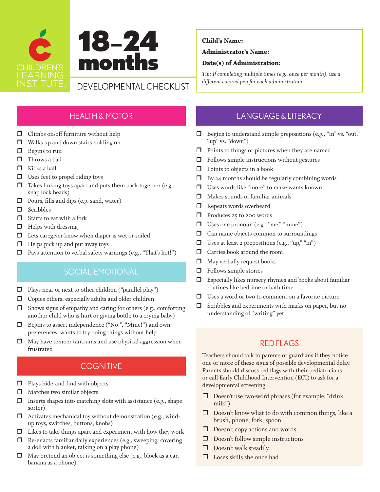

#### Administrator's Name:

#### Date(s) of Administration:

*Tip: If completing multiple times (e.g., once per month), use a* 

# HEALTH & MOTOR

- $\Box$  Climbs on/off furniture without help
- $\Box$  Walks up and down stairs holding on
- $\Box$  Begins to run
- $\Box$  Throws a ball
- $\Box$  Kicks a ball
- $\Box$  Uses feet to propel riding toys
- $\Box$  Takes linking toys apart and puts them back together (e.g., snap lock beads)
- $\Box$  Pours, fills and digs (e.g. sand, water)
- **O** Scribbles
- $\Box$  Starts to eat with a fork
- $\Box$  Helps with dressing
- $\Box$  Lets caregiver know when diaper is wet or soiled
- $\Box$  Helps pick up and put away toys
- $\Box$  Pays attention to verbal safety warnings (e.g., "That's hot!")

# SOCIAL-EMOTIONAL

- $\Box$  Plays near or next to other children ("parallel play")
- $\Box$  Copies others, especially adults and older children
- $\Box$  Shows signs of empathy and caring for others (e.g., comforting another child who is hurt or giving bottle to a crying baby)
- Begins to assert independence ("No!", "Mine!") and own preferences, wants to try doing things without help
- $\Box$  May have temper tantrums and use physical aggression when frustrated

# **COGNITIVE**

- **Plays hide-and-find with objects**
- $\Box$  Matches two similar objects
- $\Box$  Inserts shapes into matching slots with assistance (e.g., shape sorter)
- $\Box$  Activates mechanical toy without demonstration (e.g., windup toys, switches, buttons, knobs)
- $\Box$  Likes to take things apart and experiment with how they work
- $\Box$  Re-enacts familiar daily experiences (e.g., sweeping, covering a doll with blanket, talking on a play phone)
- $\Box$  May pretend an object is something else (e.g., block as a car, banana as a phone)

# LANGUAGE & LITERACY

- Begins to understand simple prepositions (e.g., "in" vs. "out," "up" vs. "down")
- $\Box$  Points to things or pictures when they are named
- $\Box$  Follows simple instructions without gestures
- $\Box$  Points to objects in a book
- $\Box$  By 24 months should be regularly combining words
- Uses words like "more" to make wants known
- $\Box$  Makes sounds of familiar animals
- Repeats words overheard
- □ Produces 25 to 200 words
- □ Uses one pronoun (e.g., "me," "mine")
- $\Box$  Can name objects common to surroundings
- $\Box$  Uses at least 2 prepositions (e.g., "up," "in")
- Carries book around the room
- $\Box$  May verbally request books
- $\Box$  Follows simple stories
- $\square$  Especially likes nursery rhymes and books about familiar routines like bedtime or bath time
- $\Box$  Uses a word or two to comment on a favorite picture
- $\Box$  Scribbles and experiments with marks on paper, but no understanding of "writing" yet

# RED FLAGS

- D Doesn't use two-word phrases (for example, "drink milk")
- Doesn't know what to do with common things, like a brush, phone, fork, spoon
- $\Box$  Doesn't copy actions and words
- Doesn't follow simple instructions
- $\Box$  Doesn't walk steadily
- $\Box$  Loses skills she once had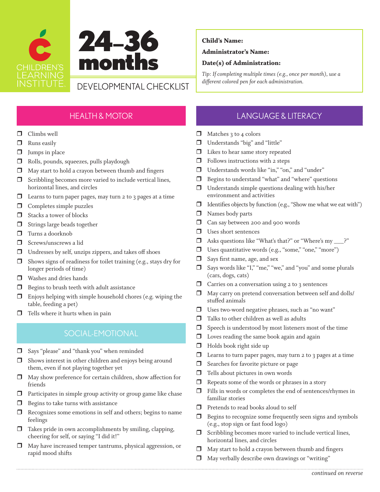



#### Administrator's Name:

#### Date(s) of Administration:

*Tip: If completing multiple times (e.g., once per month), use a different colored pen for each administration.* DEVELOPMENTAL CHECKLIST

# HEALTH & MOTOR

- **O** Climbs well
- **D** Runs easily
- $\Box$  Jumps in place
- Rolls, pounds, squeezes, pulls playdough
- $\Box$  May start to hold a crayon between thumb and fingers
- $\Box$  Scribbling becomes more varied to include vertical lines, horizontal lines, and circles
- $\Box$  Learns to turn paper pages, may turn 2 to 3 pages at a time
- $\Box$  Completes simple puzzles
- $\Box$  Stacks a tower of blocks
- $\Box$  Strings large beads together
- $\Box$  Turns a doorknob
- Screws/unscrews a lid
- $\Box$  Undresses by self, unzips zippers, and takes off shoes
- $\Box$  Shows signs of readiness for toilet training (e.g., stays dry for longer periods of time)
- $\Box$  Washes and dries hands
- $\Box$  Begins to brush teeth with adult assistance
- $\Box$  Enjoys helping with simple household chores (e.g. wiping the table, feeding a pet)
- $\Box$  Tells where it hurts when in pain

# SOCIAL-EMOTIONAL

- Says "please" and "thank you" when reminded
- $\Box$  Shows interest in other children and enjoys being around them, even if not playing together yet
- $\Box$  May show preference for certain children, show affection for friends
- $\Box$  Participates in simple group activity or group game like chase
- $\Box$  Begins to take turns with assistance
- $\Box$  Recognizes some emotions in self and others; begins to name feelings
- $\Box$  Takes pride in own accomplishments by smiling, clapping, cheering for self, or saying "I did it!"
- May have increased temper tantrums, physical aggression, or rapid mood shifts

# LANGUAGE & LITERACY

- $\Box$  Matches 3 to 4 colors
- Understands "big" and "little"
- $\Box$  Likes to hear same story repeated
- $\Box$  Follows instructions with 2 steps
- Understands words like "in," "on," and "under"
- Begins to understand "what" and "where" questions
- $\Box$  Understands simple questions dealing with his/her environment and activities
- $\Box$  Identifies objects by function (e.g., "Show me what we eat with")
- $\Box$  Names body parts
- □ Can say between 200 and 900 words
- Uses short sentences
- Asks questions like "What's that?" or "Where's my \_\_\_?"
- $\Box$  Uses quantitative words (e.g., "some," "one," "more")
- $\Box$  Says first name, age, and sex
- Says words like "I," "me," "we," and "you" and some plurals (cars, dogs, cats)
- $\Box$  Carries on a conversation using 2 to 3 sentences
- $\Box$  May carry on pretend conversation between self and dolls/ stuffed animals
- $\Box$  Uses two-word negative phrases, such as "no want"
- $\Box$  Talks to other children as well as adults
- $\Box$  Speech is understood by most listeners most of the time
- $\Box$  Loves reading the same book again and again
- $\Box$  Holds book right side up
- $\Box$  Learns to turn paper pages, may turn 2 to 3 pages at a time
- $\Box$  Searches for favorite picture or page
- $\Box$  Tells about pictures in own words
- $\Box$  Repeats some of the words or phrases in a story
- $\Box$  Fills in words or completes the end of sentences/rhymes in familiar stories
- $\Box$  Pretends to read books aloud to self
- $\Box$  Begins to recognize some frequently seen signs and symbols (e.g., stop sign or fast food logo)
- $\Box$  Scribbling becomes more varied to include vertical lines, horizontal lines, and circles
- May start to hold a crayon between thumb and fingers
- $\Box$  May verbally describe own drawings or "writing"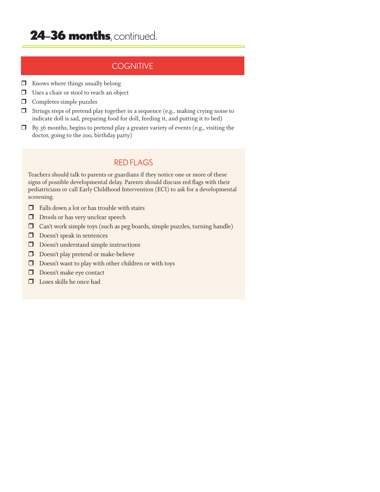# 24-36 months, continued.

# **COGNITIVE**

- $\Box$  Knows where things usually belong
- Uses a chair or stool to reach an object
- $\Box$  Completes simple puzzles
- $\Box$  Strings steps of pretend play together in a sequence (e.g., making crying noise to indicate doll is sad, preparing food for doll, feeding it, and putting it to bed)
- $\Box$  By 36 months, begins to pretend play a greater variety of events (e.g., visiting the doctor, going to the zoo, birthday party)

### RED FLAGS

- $\Box$  Falls down a lot or has trouble with stairs
- D Drools or has very unclear speech
- Can't work simple toys (such as peg boards, simple puzzles, turning handle)
- Doesn't speak in sentences
- $\hfill\Box$ <br> <br> Doesn't understand simple instructions
- D Doesn't play pretend or make-believe
- $\Box$  Doesn't want to play with other children or with toys
- Doesn't make eye contact
- $\Box$  Loses skills he once had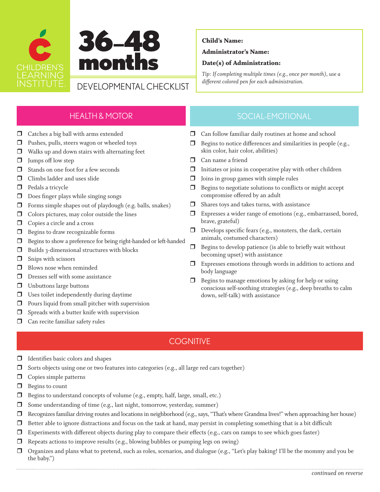



*different colored pen for each administration.* DEVELOPMENTAL CHECKLIST

#### Child's Name:

#### Administrator's Name:

#### Date(s) of Administration:

*Tip: If completing multiple times (e.g., once per month), use a* 

# HEALTH & MOTOR

- $\Box$  Catches a big ball with arms extended
- **D** Pushes, pulls, steers wagon or wheeled toys
- $\Box$  Walks up and down stairs with alternating feet
- $\Box$  Jumps off low step
- $\Box$  Stands on one foot for a few seconds
- $\Box$  Climbs ladder and uses slide
- $\Box$  Pedals a tricycle
- $\Box$  Does finger plays while singing songs
- $\Box$  Forms simple shapes out of playdough (e.g. balls, snakes)
- $\Box$  Colors pictures, may color outside the lines
- Copies a circle and a cross
- **Begins to draw recognizable forms**
- Begins to show a preference for being right-handed or left-handed
- $\Box$  Builds 3-dimensional structures with blocks
- $\Box$  Snips with scissors
- $\Box$  Blows nose when reminded
- $\Box$  Dresses self with some assistance
- $\Box$  Unbuttons large buttons
- $\Box$  Uses toilet independently during daytime
- $\Box$  Pours liquid from small pitcher with supervision
- $\Box$  Spreads with a butter knife with supervision
- $\Box$  Can recite familiar safety rules

# SOCIAL-EMOTIONAL

- $\Box$  Can follow familiar daily routines at home and school
- $\Box$  Begins to notice differences and similarities in people (e.g., skin color, hair color, abilities)
- **D** Can name a friend
- $\Box$  Initiates or joins in cooperative play with other children
- $\Box$  Joins in group games with simple rules
- $\Box$  Begins to negotiate solutions to conflicts or might accept compromise offered by an adult
- $\Box$  Shares toys and takes turns, with assistance
- Expresses a wider range of emotions (e.g., embarrassed, bored, brave, grateful)
- $\Box$  Develops specific fears (e.g., monsters, the dark, certain animals, costumed characters)
- $\Box$  Begins to develop patience (is able to briefly wait without becoming upset) with assistance
- Expresses emotions through words in addition to actions and body language
- $\Box$  Begins to manage emotions by asking for help or using conscious self-soothing strategies (e.g., deep breaths to calm down, self-talk) with assistance

# **COGNITIVE**

- $\Box$  Identifies basic colors and shapes
- $\Box$  Sorts objects using one or two features into categories (e.g., all large red cars together)
- $\Box$  Copies simple patterns
- $\Box$  Begins to count
- Begins to understand concepts of volume (e.g., empty, half, large, small, etc.)
- $\Box$  Some understanding of time (e.g., last night, tomorrow, yesterday, summer)
- $\Box$  Recognizes familiar driving routes and locations in neighborhood (e.g., says, "That's where Grandma lives!" when approaching her house)
- Better able to ignore distractions and focus on the task at hand, may persist in completing something that is a bit difficult
- $\Box$  Experiments with different objects during play to compare their effects (e.g., cars on ramps to see which goes faster)
- $\Box$  Repeats actions to improve results (e.g., blowing bubbles or pumping legs on swing)
- Organizes and plans what to pretend, such as roles, scenarios, and dialogue (e.g., "Let's play baking! I'll be the mommy and you be the baby.")